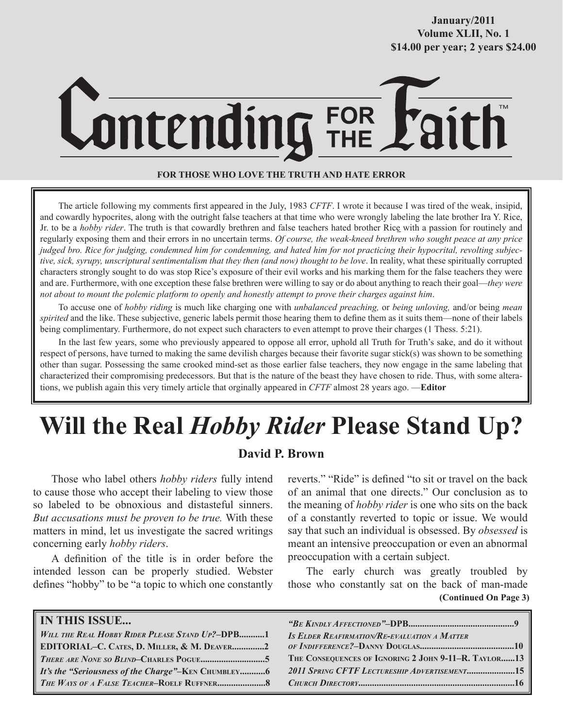## **October/2007 Volume XLII, No. 1 Volume XXXVIII, No. 10 \$14.00 per year; 2 years \$24.00 \$14.00 per year; 2 years \$24.00 January/2011**

# FOR<br>THF ontending

## **FOR THOSE WHO LOVE THE TRUTH AND HATE ERROR**

The article following my comments first appeared in the July, 1983 *CFTF*. I wrote it because I was tired of the weak, insipid, and cowardly hypocrites, along with the outright false teachers at that time who were wrongly labeling the late brother Ira Y. Rice, Jr. to be a *hobby rider*. The truth is that cowardly brethren and false teachers hated brother Rice with a passion for routinely and regularly exposing them and their errors in no uncertain terms. *Of course, the weak-kneed brethren who sought peace at any price judged bro. Rice for judging, condemned him for condemning, and hated him for not practicing their hypocrital, revolting subjective, sick, syrupy, unscriptural sentimentalism that they then (and now) thought to be love*. In reality, what these spiritually corrupted characters strongly sought to do was stop Rice's exposure of their evil works and his marking them for the false teachers they were and are. Furthermore, with one exception these false brethren were willing to say or do about anything to reach their goal—*they were not about to mount the polemic platform to openly and honestly attempt to prove their charges against him*.

To accuse one of *hobby riding* is much like charging one with *unbalanced preaching,* or *being unloving,* and/or being *mean spirited* and the like. These subjective, generic labels permit those hearing them to define them as it suits them—none of their labels being complimentary. Furthermore, do not expect such characters to even attempt to prove their charges (1 Thess. 5:21).

In the last few years, some who previously appeared to oppose all error, uphold all Truth for Truth's sake, and do it without respect of persons, have turned to making the same devilish charges because their favorite sugar stick(s) was shown to be something other than sugar. Possessing the same crooked mind-set as those earlier false teachers, they now engage in the same labeling that characterized their compromising predecessors. But that is the nature of the beast they have chosen to ride. Thus, with some alterations, we publish again this very timely article that orginally appeared in *CFTF* almost 28 years ago. —**Editor**

## **Will the Real** *Hobby Rider* **Please Stand Up?**

## **David P. Brown**

Those who label others *hobby riders* fully intend to cause those who accept their labeling to view those so labeled to be obnoxious and distasteful sinners. *But accusations must be proven to be true.* With these matters in mind, let us investigate the sacred writings concerning early *hobby riders*.

A definition of the title is in order before the intended lesson can be properly studied. Webster defines "hobby" to be "a topic to which one constantly reverts." "Ride" is defined "to sit or travel on the back of an animal that one directs." Our conclusion as to the meaning of *hobby rider* is one who sits on the back of a constantly reverted to topic or issue. We would say that such an individual is obsessed. By *obsessed* is meant an intensive preoccupation or even an abnormal preoccupation with a certain subject.

The early church was greatly troubled by those who constantly sat on the back of man-made **(Continued On Page 3)**

| <b>IN THIS ISSUE</b>                               |                                                      |
|----------------------------------------------------|------------------------------------------------------|
| WILL THE REAL HOBBY RIDER PLEASE STAND UP?-DPB1    | <b>IS ELDER REAFIRMATION/RE-EVALUATION A MATTER</b>  |
| EDITORIAL-C. CATES, D. MILLER, & M. DEAVER2        |                                                      |
|                                                    | THE CONSEQUENCES OF IGNORING 2 JOHN 9-11-R. TAYLOR13 |
| It's the "Seriousness of the Charge"-KEN CHUMBLEY6 | 2011 SPRING CFTF LECTURESHIP ADVERTISEMENT15         |
|                                                    |                                                      |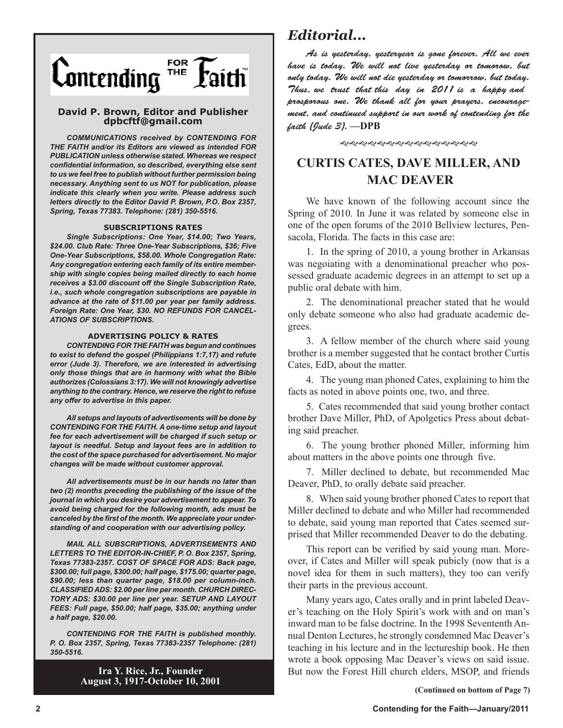

### **David P. Brown, Editor and Publisher dpbcftf@gmail.com**

*COMMUNICATIONS received by CONTENDING FOR THE FAITH and/or its Editors are viewed as intended FOR PUBLICATION unless otherwise stated. Whereas we respect confidential information, so described, everything else sent to us we feel free to publish without further permission being necessary. Anything sent to us NOT for publication, please indicate this clearly when you write. Please address such letters directly to the Editor David P. Brown, P.O. Box 2357, Spring, Texas 77383. Telephone: (281) 350-5516.*

#### **SUBSCRIPTIONS RATES**

*Single Subscriptions: One Year, \$14.00; Two Years, \$24.00. Club Rate: Three One-Year Subscriptions, \$36; Five One-Year Subscriptions, \$58.00. Whole Congregation Rate: Any congregation entering each family of its entire membership with single copies being mailed directly to each home receives a \$3.00 discount off the Single Subscription Rate, i.e., such whole congregation subscriptions are payable in advance at the rate of \$11.00 per year per family address. Foreign Rate: One Year, \$30. NO REFUNDS FOR CANCEL-ATIONS OF SUBSCRIPTIONS.*

#### **ADVERTISING POLICY & RATES**

*CONTENDING FOR THE FAITH was begun and continues to exist to defend the gospel (Philippians 1:7,17) and refute error (Jude 3). Therefore, we are interested in advertising only those things that are in harmony with what the Bible authorizes (Colossians 3:17). We will not knowingly advertise anything to the contrary. Hence, we reserve the right to refuse any offer to advertise in this paper.*

*All setups and layouts of advertisements will be done by CONTENDING FOR THE FAITH. A one-time setup and layout fee for each advertisement will be charged if such setup or layout is needful. Setup and layout fees are in addition to the cost of the space purchased for advertisement. No major changes will be made without customer approval.*

*All advertisements must be in our hands no later than two (2) months preceding the publishing of the issue of the journal in which you desire your advertisement to appear. To avoid being charged for the following month, ads must be canceled by the first of the month. We appreciate your understanding of and cooperation with our advertising policy.*

*MAIL ALL SUBSCRIPTIONS, ADVERTISEMENTS AND LETTERS TO THE EDITOR-IN-CHIEF, P. O. Box 2357, Spring, Texas 77383-2357. COST OF SPACE FOR ADS: Back page, \$300.00; full page, \$300.00; half page, \$175.00; quarter page, \$90.00; less than quarter page, \$18.00 per column-inch. CLASSIFIED ADS: \$2.00 per line per month. CHURCH DIREC-TORY ADS: \$30.00 per line per year. SETUP AND LAYOUT FEES: Full page, \$50.00; half page, \$35.00; anything under a half page, \$20.00.*

*CONTENDING FOR THE FAITH is published monthly. P. O. Box 2357, Spring, Texas 77383-2357 Telephone: (281) 350-5516.*

> **Ira Y. Rice, Jr., Founder August 3, 1917-October 10, 2001**

## *Editorial...*

As is yesterday, yesteryear is gone forever. All we ever have is today. We will not live yesterday or tomorow, but only today. We will not die yesterday or tomorrow, but today. Thus, we trust that this day in 2011 is a happy and prosporous one. We thank all for your prayers, encouragement, and continued support in our work of contending for the faith (Jude 3). **—DPB**

*֍*֍֍֍֍֍֍֍֍֍֍֍֍֍

## **CURTIS CATES, DAVE MILLER, AND MAC DEAVER**

We have known of the following account since the Spring of 2010. In June it was related by someone else in one of the open forums of the 2010 Bellview lectures, Pensacola, Florida. The facts in this case are:

1. In the spring of 2010, a young brother in Arkansas was negoiating with a denominational preacher who possessed graduate academic degrees in an attempt to set up a public oral debate with him.

2. The denominational preacher stated that he would only debate someone who also had graduate academic degrees.

3. A fellow member of the church where said young brother is a member suggested that he contact brother Curtis Cates, EdD, about the matter.

4. The young man phoned Cates, explaining to him the facts as noted in above points one, two, and three.

5. Cates recommended that said young brother contact brother Dave Miller, PhD, of Apolgetics Press about debating said preacher.

6. The young brother phoned Miller, informing him about matters in the above points one through five.

7. Miller declined to debate, but recommended Mac Deaver, PhD, to orally debate said preacher.

8. When said young brother phoned Cates to report that Miller declined to debate and who Miller had recommended to debate, said young man reported that Cates seemed surprised that Miller recommended Deaver to do the debating.

This report can be verified by said young man. Moreover, if Cates and Miller will speak pubicly (now that is a novel idea for them in such matters), they too can verify their parts in the previous account.

Many years ago, Cates orally and in print labeled Deaver's teaching on the Holy Spirit's work with and on man's inward man to be false doctrine. In the 1998 Sevententh Annual Denton Lectures, he strongly condemned Mac Deaver's teaching in his lecture and in the lectureship book. He then wrote a book opposing Mac Deaver's views on said issue. But now the Forest Hill church elders, MSOP, and friends

 **(Continued on bottom of Page 7)**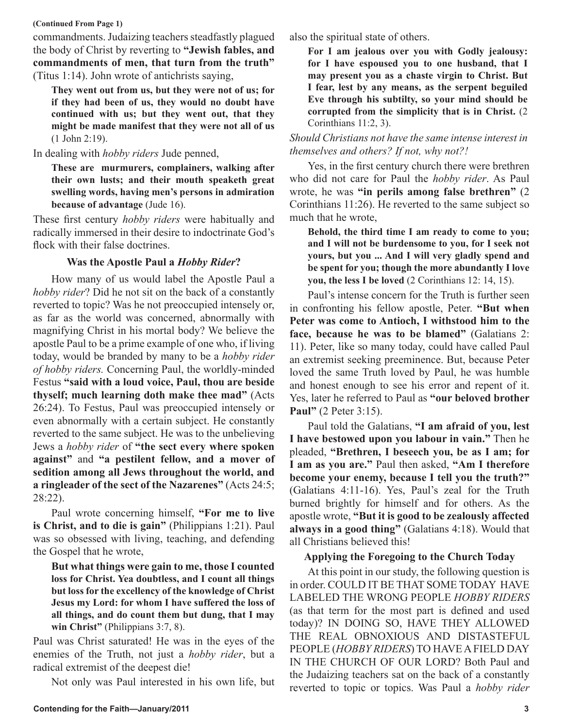### **(Continued From Page 1)**

commandments. Judaizing teachers steadfastly plagued the body of Christ by reverting to **"Jewish fables, and commandments of men, that turn from the truth"** (Titus 1:14). John wrote of antichrists saying,

**They went out from us, but they were not of us; for if they had been of us, they would no doubt have continued with us; but they went out, that they might be made manifest that they were not all of us**  (1 John 2:19).

## In dealing with *hobby riders* Jude penned,

**These are murmurers, complainers, walking after their own lusts; and their mouth speaketh great swelling words, having men's persons in admiration because of advantage** (Jude 16).

These first century *hobby riders* were habitually and radically immersed in their desire to indoctrinate God's flock with their false doctrines.

## **Was the Apostle Paul a** *Hobby Rider***?**

How many of us would label the Apostle Paul a *hobby rider*? Did he not sit on the back of a constantly reverted to topic? Was he not preoccupied intensely or, as far as the world was concerned, abnormally with magnifying Christ in his mortal body? We believe the apostle Paul to be a prime example of one who, if living today, would be branded by many to be a *hobby rider of hobby riders.* Concerning Paul, the worldly-minded Festus **"said with a loud voice, Paul, thou are beside thyself; much learning doth make thee mad"** (Acts 26:24). To Festus, Paul was preoccupied intensely or even abnormally with a certain subject. He constantly reverted to the same subject. He was to the unbelieving Jews a *hobby rider* of **"the sect every where spoken against"** and **"a pestilent fellow, and a mover of sedition among all Jews throughout the world, and a ringleader of the sect of the Nazarenes"** (Acts 24:5; 28:22).

Paul wrote concerning himself, **"For me to live is Christ, and to die is gain"** (Philippians 1:21). Paul was so obsessed with living, teaching, and defending the Gospel that he wrote,

**But what things were gain to me, those I counted loss for Christ. Yea doubtless, and I count all things but loss for the excellency of the knowledge of Christ Jesus my Lord: for whom I have suffered the loss of all things, and do count them but dung, that I may win Christ"** (Philippians 3:7, 8).

Paul was Christ saturated! He was in the eyes of the enemies of the Truth, not just a *hobby rider*, but a radical extremist of the deepest die!

Not only was Paul interested in his own life, but

also the spiritual state of others.

**For I am jealous over you with Godly jealousy: for I have espoused you to one husband, that I may present you as a chaste virgin to Christ. But I fear, lest by any means, as the serpent beguiled Eve through his subtilty, so your mind should be corrupted from the simplicity that is in Christ.** (2 Corinthians 11:2, 3).

*Should Christians not have the same intense interest in themselves and others? If not, why not?!*

Yes, in the first century church there were brethren who did not care for Paul the *hobby rider*. As Paul wrote, he was **"in perils among false brethren"** (2 Corinthians 11:26). He reverted to the same subject so much that he wrote,

**Behold, the third time I am ready to come to you; and I will not be burdensome to you, for I seek not yours, but you ... And I will very gladly spend and be spent for you; though the more abundantly I love you, the less I be loved** (2 Corinthians 12: 14, 15).

Paul's intense concern for the Truth is further seen in confronting his fellow apostle, Peter. **"But when Peter was come to Antioch, I withstood him to the face, because he was to be blamed"** (Galatians 2: 11). Peter, like so many today, could have called Paul an extremist seeking preeminence. But, because Peter loved the same Truth loved by Paul, he was humble and honest enough to see his error and repent of it. Yes, later he referred to Paul as **"our beloved brother Paul"** (2 Peter 3:15).

Paul told the Galatians, **"I am afraid of you, lest I have bestowed upon you labour in vain."** Then he pleaded, **"Brethren, I beseech you, be as I am; for I am as you are."** Paul then asked, **"Am I therefore become your enemy, because I tell you the truth?"** (Galatians 4:11-16). Yes, Paul's zeal for the Truth burned brightly for himself and for others. As the apostle wrote, **"But it is good to be zealously affected always in a good thing"** (Galatians 4:18). Would that all Christians believed this!

## **Applying the Foregoing to the Church Today**

At this point in our study, the following question is in order. COULD IT BE THAT SOME TODAY HAVE LABELED THE WRONG PEOPLE *HOBBY RIDERS*  (as that term for the most part is defined and used today)? IN DOING SO, HAVE THEY ALLOWED THE REAL OBNOXIOUS AND DISTASTEFUL PEOPLE (*HOBBY RIDERS*) TO HAVE A FIELD DAY IN THE CHURCH OF OUR LORD? Both Paul and the Judaizing teachers sat on the back of a constantly reverted to topic or topics. Was Paul a *hobby rider*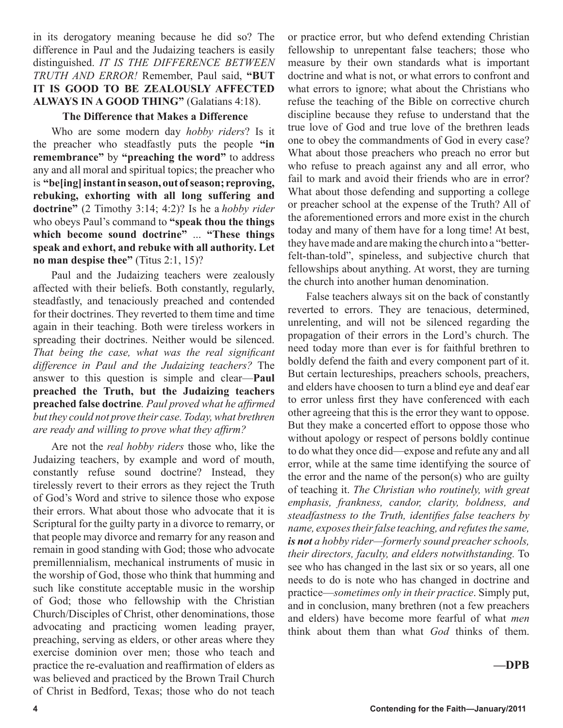in its derogatory meaning because he did so? The difference in Paul and the Judaizing teachers is easily distinguished. *IT IS THE DIFFERENCE BETWEEN TRUTH AND ERROR!* Remember, Paul said, **"BUT IT IS GOOD TO BE ZEALOUSLY AFFECTED ALWAYS IN A GOOD THING"** (Galatians 4:18).

## **The Difference that Makes a Difference**

Who are some modern day *hobby riders*? Is it the preacher who steadfastly puts the people **"in remembrance"** by **"preaching the word"** to address any and all moral and spiritual topics; the preacher who is **"be[ing] instant in season, out of season; reproving, rebuking, exhorting with all long suffering and doctrine"** (2 Timothy 3:14; 4:2)? Is he a *hobby rider* who obeys Paul's command to **"speak thou the things which become sound doctrine"** ... **"These things speak and exhort, and rebuke with all authority. Let no man despise thee"** (Titus 2:1, 15)?

Paul and the Judaizing teachers were zealously affected with their beliefs. Both constantly, regularly, steadfastly, and tenaciously preached and contended for their doctrines. They reverted to them time and time again in their teaching. Both were tireless workers in spreading their doctrines. Neither would be silenced. *That being the case, what was the real significant difference in Paul and the Judaizing teachers?* The answer to this question is simple and clear—**Paul preached the Truth, but the Judaizing teachers preached false doctrine***. Paul proved what he affirmed but they could not prove their case. Today, what brethren are ready and willing to prove what they affirm?* 

Are not the *real hobby riders* those who, like the Judaizing teachers, by example and word of mouth, constantly refuse sound doctrine? Instead, they tirelessly revert to their errors as they reject the Truth of God's Word and strive to silence those who expose their errors. What about those who advocate that it is Scriptural for the guilty party in a divorce to remarry, or that people may divorce and remarry for any reason and remain in good standing with God; those who advocate premillennialism, mechanical instruments of music in the worship of God, those who think that humming and such like constitute acceptable music in the worship of God; those who fellowship with the Christian Church/Disciples of Christ, other denominations, those advocating and practicing women leading prayer, preaching, serving as elders, or other areas where they exercise dominion over men; those who teach and practice the re-evaluation and reaffirmation of elders as was believed and practiced by the Brown Trail Church of Christ in Bedford, Texas; those who do not teach or practice error, but who defend extending Christian fellowship to unrepentant false teachers; those who measure by their own standards what is important doctrine and what is not, or what errors to confront and what errors to ignore; what about the Christians who refuse the teaching of the Bible on corrective church discipline because they refuse to understand that the true love of God and true love of the brethren leads one to obey the commandments of God in every case? What about those preachers who preach no error but who refuse to preach against any and all error, who fail to mark and avoid their friends who are in error? What about those defending and supporting a college or preacher school at the expense of the Truth? All of the aforementioned errors and more exist in the church today and many of them have for a long time! At best, they have made and are making the church into a "betterfelt-than-told", spineless, and subjective church that fellowships about anything. At worst, they are turning the church into another human denomination.

False teachers always sit on the back of constantly reverted to errors. They are tenacious, determined, unrelenting, and will not be silenced regarding the propagation of their errors in the Lord's church. The need today more than ever is for faithful brethren to boldly defend the faith and every component part of it. But certain lectureships, preachers schools, preachers, and elders have choosen to turn a blind eye and deaf ear to error unless first they have conferenced with each other agreeing that this is the error they want to oppose. But they make a concerted effort to oppose those who without apology or respect of persons boldly continue to do what they once did—expose and refute any and all error, while at the same time identifying the source of the error and the name of the person(s) who are guilty of teaching it. *The Christian who routinely, with great emphasis, frankness, candor, clarity, boldness, and steadfastness to the Truth, identifies false teachers by name, exposes their false teaching, and refutes the same, is not a hobby rider—formerly sound preacher schools, their directors, faculty, and elders notwithstanding.* To see who has changed in the last six or so years, all one needs to do is note who has changed in doctrine and practice—*sometimes only in their practice*. Simply put, and in conclusion, many brethren (not a few preachers and elders) have become more fearful of what *men*  think about them than what *God* thinks of them.

## **—DPB**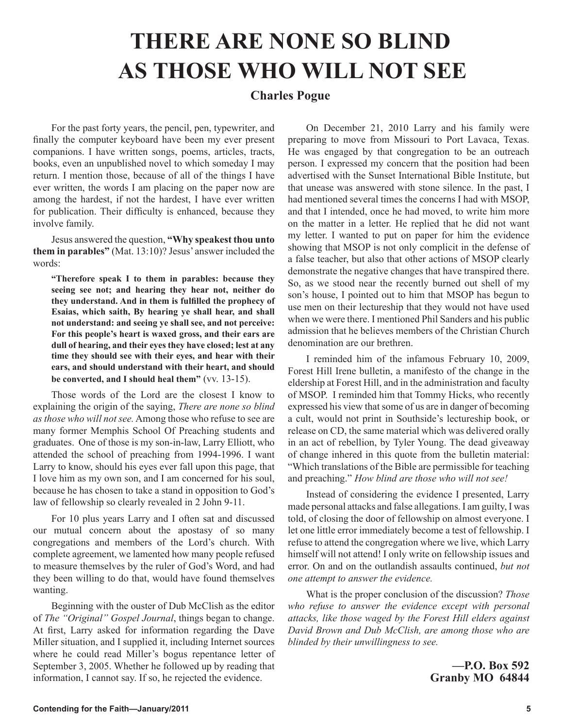## **THERE ARE NONE SO BLIND AS THOSE WHO WILL NOT SEE**

## **Charles Pogue**

For the past forty years, the pencil, pen, typewriter, and finally the computer keyboard have been my ever present companions. I have written songs, poems, articles, tracts, books, even an unpublished novel to which someday I may return. I mention those, because of all of the things I have ever written, the words I am placing on the paper now are among the hardest, if not the hardest, I have ever written for publication. Their difficulty is enhanced, because they involve family.

Jesus answered the question, **"Why speakest thou unto them in parables"** (Mat. 13:10)? Jesus' answer included the words:

**"Therefore speak I to them in parables: because they seeing see not; and hearing they hear not, neither do they understand. And in them is fulfilled the prophecy of Esaias, which saith, By hearing ye shall hear, and shall not understand: and seeing ye shall see, and not perceive: For this people's heart is waxed gross, and their ears are dull of hearing, and their eyes they have closed; lest at any time they should see with their eyes, and hear with their ears, and should understand with their heart, and should be converted, and I should heal them"** (vv. 13-15).

Those words of the Lord are the closest I know to explaining the origin of the saying, *There are none so blind as those who will not see.* Among those who refuse to see are many former Memphis School Of Preaching students and graduates. One of those is my son-in-law, Larry Elliott, who attended the school of preaching from 1994-1996. I want Larry to know, should his eyes ever fall upon this page, that I love him as my own son, and I am concerned for his soul, because he has chosen to take a stand in opposition to God's law of fellowship so clearly revealed in 2 John 9-11.

For 10 plus years Larry and I often sat and discussed our mutual concern about the apostasy of so many congregations and members of the Lord's church. With complete agreement, we lamented how many people refused to measure themselves by the ruler of God's Word, and had they been willing to do that, would have found themselves wanting.

Beginning with the ouster of Dub McClish as the editor of *The "Original" Gospel Journal*, things began to change. At first, Larry asked for information regarding the Dave Miller situation, and I supplied it, including Internet sources where he could read Miller's bogus repentance letter of September 3, 2005. Whether he followed up by reading that information, I cannot say. If so, he rejected the evidence.

On December 21, 2010 Larry and his family were preparing to move from Missouri to Port Lavaca, Texas. He was engaged by that congregation to be an outreach person. I expressed my concern that the position had been advertised with the Sunset International Bible Institute, but that unease was answered with stone silence. In the past, I had mentioned several times the concerns I had with MSOP, and that I intended, once he had moved, to write him more on the matter in a letter. He replied that he did not want my letter. I wanted to put on paper for him the evidence showing that MSOP is not only complicit in the defense of a false teacher, but also that other actions of MSOP clearly demonstrate the negative changes that have transpired there. So, as we stood near the recently burned out shell of my son's house, I pointed out to him that MSOP has begun to use men on their lectureship that they would not have used when we were there. I mentioned Phil Sanders and his public admission that he believes members of the Christian Church denomination are our brethren.

I reminded him of the infamous February 10, 2009, Forest Hill Irene bulletin, a manifesto of the change in the eldership at Forest Hill, and in the administration and faculty of MSOP. I reminded him that Tommy Hicks, who recently expressed his view that some of us are in danger of becoming a cult, would not print in Southside's lectureship book, or release on CD, the same material which was delivered orally in an act of rebellion, by Tyler Young. The dead giveaway of change inhered in this quote from the bulletin material: "Which translations of the Bible are permissible for teaching and preaching." *How blind are those who will not see!*

Instead of considering the evidence I presented, Larry made personal attacks and false allegations. I am guilty, I was told, of closing the door of fellowship on almost everyone. I let one little error immediately become a test of fellowship. I refuse to attend the congregation where we live, which Larry himself will not attend! I only write on fellowship issues and error. On and on the outlandish assaults continued, *but not one attempt to answer the evidence.*

What is the proper conclusion of the discussion? *Those who refuse to answer the evidence except with personal attacks, like those waged by the Forest Hill elders against David Brown and Dub McClish, are among those who are blinded by their unwillingness to see.*

> **—P.O. Box 592 Granby MO 64844**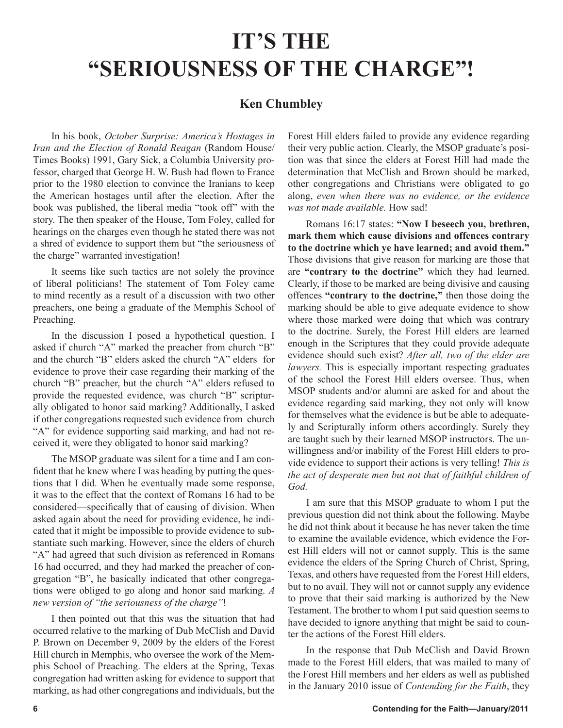## **IT'S THE "SERIOUSNESS OF THE CHARGE"!**

## **Ken Chumbley**

In his book, *October Surprise: America's Hostages in Iran and the Election of Ronald Reagan* (Random House/ Times Books) 1991, Gary Sick, a Columbia University professor, charged that George H. W. Bush had flown to France prior to the 1980 election to convince the Iranians to keep the American hostages until after the election. After the book was published, the liberal media "took off" with the story. The then speaker of the House, Tom Foley, called for hearings on the charges even though he stated there was not a shred of evidence to support them but "the seriousness of the charge" warranted investigation!

It seems like such tactics are not solely the province of liberal politicians! The statement of Tom Foley came to mind recently as a result of a discussion with two other preachers, one being a graduate of the Memphis School of Preaching.

In the discussion I posed a hypothetical question. I asked if church "A" marked the preacher from church "B" and the church "B" elders asked the church "A" elders for evidence to prove their case regarding their marking of the church "B" preacher, but the church "A" elders refused to provide the requested evidence, was church "B" scripturally obligated to honor said marking? Additionally, I asked if other congregations requested such evidence from church "A" for evidence supporting said marking, and had not received it, were they obligated to honor said marking?

The MSOP graduate was silent for a time and I am confident that he knew where I was heading by putting the questions that I did. When he eventually made some response, it was to the effect that the context of Romans 16 had to be considered—specifically that of causing of division. When asked again about the need for providing evidence, he indicated that it might be impossible to provide evidence to substantiate such marking. However, since the elders of church "A" had agreed that such division as referenced in Romans 16 had occurred, and they had marked the preacher of congregation "B", he basically indicated that other congregations were obliged to go along and honor said marking. *A new version of "the seriousness of the charge"*!

I then pointed out that this was the situation that had occurred relative to the marking of Dub McClish and David P. Brown on December 9, 2009 by the elders of the Forest Hill church in Memphis, who oversee the work of the Memphis School of Preaching. The elders at the Spring, Texas congregation had written asking for evidence to support that marking, as had other congregations and individuals, but the Forest Hill elders failed to provide any evidence regarding their very public action. Clearly, the MSOP graduate's position was that since the elders at Forest Hill had made the determination that McClish and Brown should be marked, other congregations and Christians were obligated to go along, *even when there was no evidence, or the evidence was not made available.* How sad!

Romans 16:17 states: **"Now I beseech you, brethren, mark them which cause divisions and offences contrary to the doctrine which ye have learned; and avoid them."** Those divisions that give reason for marking are those that are **"contrary to the doctrine"** which they had learned. Clearly, if those to be marked are being divisive and causing offences **"contrary to the doctrine,"** then those doing the marking should be able to give adequate evidence to show where those marked were doing that which was contrary to the doctrine. Surely, the Forest Hill elders are learned enough in the Scriptures that they could provide adequate evidence should such exist? *After all, two of the elder are lawyers.* This is especially important respecting graduates of the school the Forest Hill elders oversee. Thus, when MSOP students and/or alumni are asked for and about the evidence regarding said marking, they not only will know for themselves what the evidence is but be able to adequately and Scripturally inform others accordingly. Surely they are taught such by their learned MSOP instructors. The unwillingness and/or inability of the Forest Hill elders to provide evidence to support their actions is very telling! *This is the act of desperate men but not that of faithful children of God.*

I am sure that this MSOP graduate to whom I put the previous question did not think about the following. Maybe he did not think about it because he has never taken the time to examine the available evidence, which evidence the Forest Hill elders will not or cannot supply. This is the same evidence the elders of the Spring Church of Christ, Spring, Texas, and others have requested from the Forest Hill elders, but to no avail. They will not or cannot supply any evidence to prove that their said marking is authorized by the New Testament. The brother to whom I put said question seems to have decided to ignore anything that might be said to counter the actions of the Forest Hill elders.

In the response that Dub McClish and David Brown made to the Forest Hill elders, that was mailed to many of the Forest Hill members and her elders as well as published in the January 2010 issue of *Contending for the Faith*, they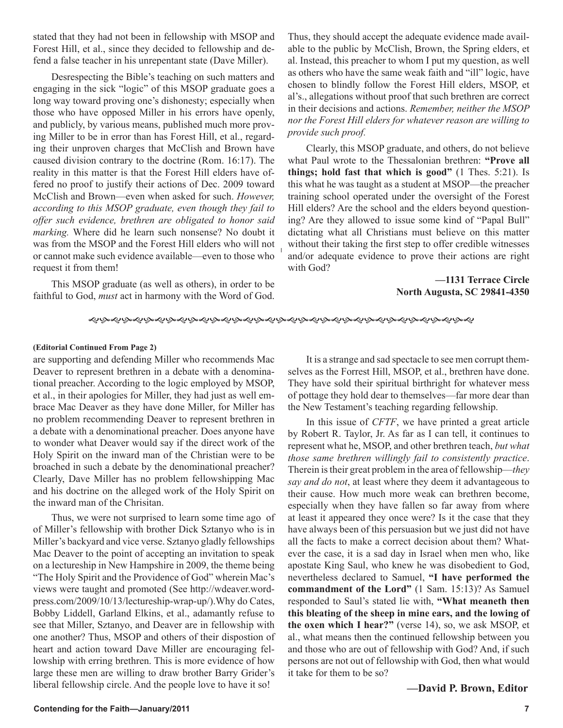stated that they had not been in fellowship with MSOP and Forest Hill, et al., since they decided to fellowship and defend a false teacher in his unrepentant state (Dave Miller).

Desrespecting the Bible's teaching on such matters and engaging in the sick "logic" of this MSOP graduate goes a long way toward proving one's dishonesty; especially when those who have opposed Miller in his errors have openly, and publicly, by various means, published much more proving Miller to be in error than has Forest Hill, et al., regarding their unproven charges that McClish and Brown have caused division contrary to the doctrine (Rom. 16:17). The reality in this matter is that the Forest Hill elders have offered no proof to justify their actions of Dec. 2009 toward McClish and Brown—even when asked for such. *However, according to this MSOP graduate, even though they fail to offer such evidence, brethren are obligated to honor said marking.* Where did he learn such nonsense? No doubt it was from the MSOP and the Forest Hill elders who will not or cannot make such evidence available—even to those who request it from them!

This MSOP graduate (as well as others), in order to be faithful to God, *must* act in harmony with the Word of God.

Thus, they should accept the adequate evidence made available to the public by McClish, Brown, the Spring elders, et al. Instead, this preacher to whom I put my question, as well as others who have the same weak faith and "ill" logic, have chosen to blindly follow the Forest Hill elders, MSOP, et al's., allegations without proof that such brethren are correct in their decisions and actions. *Remember, neither the MSOP nor the Forest Hill elders for whatever reason are willing to provide such proof.* 

Clearly, this MSOP graduate, and others, do not believe what Paul wrote to the Thessalonian brethren: **"Prove all things; hold fast that which is good"** (1 Thes. 5:21). Is this what he was taught as a student at MSOP—the preacher training school operated under the oversight of the Forest Hill elders? Are the school and the elders beyond questioning? Are they allowed to issue some kind of "Papal Bull" dictating what all Christians must believe on this matter without their taking the first step to offer credible witnesses and/or adequate evidence to prove their actions are right with God?

> **—1131 Terrace Circle North Augusta, SC 29841-4350**

#### ෯෯෯෯෯෯෯෯෯෯෯෯෯෯෯෯෯෯෯෯෯෯෯෯෯෯෯෯෯෯෯෯෯

### **(Editorial Continued From Page 2)**

are supporting and defending Miller who recommends Mac Deaver to represent brethren in a debate with a denominational preacher. According to the logic employed by MSOP, et al., in their apologies for Miller, they had just as well embrace Mac Deaver as they have done Miller, for Miller has no problem recommending Deaver to represent brethren in a debate with a denominational preacher. Does anyone have to wonder what Deaver would say if the direct work of the Holy Spirit on the inward man of the Christian were to be broached in such a debate by the denominational preacher? Clearly, Dave Miller has no problem fellowshipping Mac and his doctrine on the alleged work of the Holy Spirit on the inward man of the Chrisitan.

Thus, we were not surprised to learn some time ago of of Miller's fellowship with brother Dick Sztanyo who is in Miller's backyard and vice verse. Sztanyo gladly fellowships Mac Deaver to the point of accepting an invitation to speak on a lectureship in New Hampshire in 2009, the theme being "The Holy Spirit and the Providence of God" wherein Mac's views were taught and promoted (See http://wdeaver.wordpress.com/2009/10/13/lectureship-wrap-up/).Why do Cates, Bobby Liddell, Garland Elkins, et al., adamantly refuse to see that Miller, Sztanyo, and Deaver are in fellowship with one another? Thus, MSOP and others of their dispostion of heart and action toward Dave Miller are encouraging fellowship with erring brethren. This is more evidence of how large these men are willing to draw brother Barry Grider's liberal fellowship circle. And the people love to have it so!

It is a strange and sad spectacle to see men corrupt themselves as the Forrest Hill, MSOP, et al., brethren have done. They have sold their spiritual birthright for whatever mess of pottage they hold dear to themselves—far more dear than the New Testament's teaching regarding fellowship.

In this issue of *CFTF*, we have printed a great article by Robert R. Taylor, Jr. As far as I can tell, it continues to represent what he, MSOP, and other brethren teach, *but what those same brethren willingly fail to consistently practice*. Therein is their great problem in the area of fellowship—*they say and do not*, at least where they deem it advantageous to their cause. How much more weak can brethren become, especially when they have fallen so far away from where at least it appeared they once were? Is it the case that they have always been of this persuasion but we just did not have all the facts to make a correct decision about them? Whatever the case, it is a sad day in Israel when men who, like apostate King Saul, who knew he was disobedient to God, nevertheless declared to Samuel, **"I have performed the commandment of the Lord"** (1 Sam. 15:13)? As Samuel responded to Saul's stated lie with, **"What meaneth then this bleating of the sheep in mine ears, and the lowing of the oxen which I hear?"** (verse 14), so, we ask MSOP, et al., what means then the continued fellowship between you and those who are out of fellowship with God? And, if such persons are not out of fellowship with God, then what would it take for them to be so?

## **—David P. Brown, Editor**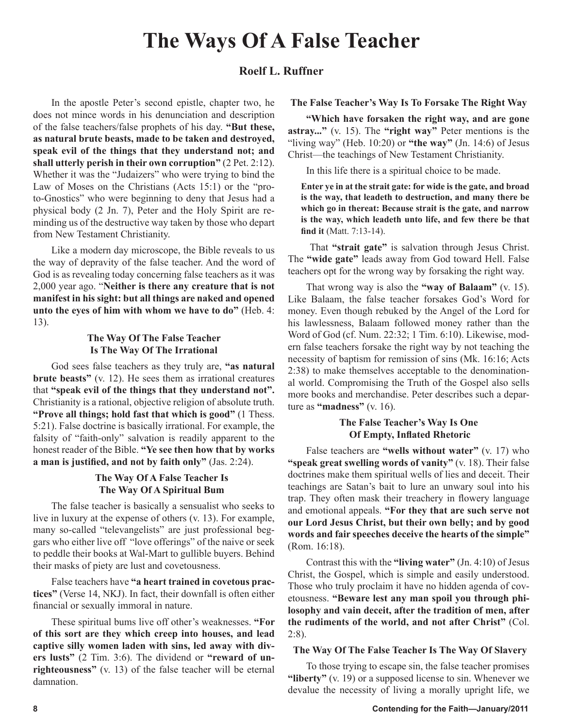## **The Ways Of A False Teacher**

## **Roelf L. Ruffner**

In the apostle Peter's second epistle, chapter two, he does not mince words in his denunciation and description of the false teachers/false prophets of his day. **"But these, as natural brute beasts, made to be taken and destroyed, speak evil of the things that they understand not; and shall utterly perish in their own corruption"** (2 Pet. 2:12). Whether it was the "Judaizers" who were trying to bind the Law of Moses on the Christians (Acts 15:1) or the "proto-Gnostics" who were beginning to deny that Jesus had a physical body (2 Jn. 7), Peter and the Holy Spirit are reminding us of the destructive way taken by those who depart from New Testament Christianity.

Like a modern day microscope, the Bible reveals to us the way of depravity of the false teacher. And the word of God is as revealing today concerning false teachers as it was 2,000 year ago. "**Neither is there any creature that is not manifest in his sight: but all things are naked and opened unto the eyes of him with whom we have to do"** (Heb. 4: 13).

## **The Way Of The False Teacher Is The Way Of The Irrational**

God sees false teachers as they truly are, **"as natural brute beasts"** (v. 12). He sees them as irrational creatures that **"speak evil of the things that they understand not".** Christianity is a rational, objective religion of absolute truth. **"Prove all things; hold fast that which is good"** (1 Thess. 5:21). False doctrine is basically irrational. For example, the falsity of "faith-only" salvation is readily apparent to the honest reader of the Bible. **"Ye see then how that by works a man is justified, and not by faith only"** (Jas. 2:24).

## **The Way Of A False Teacher Is The Way Of A Spiritual Bum**

The false teacher is basically a sensualist who seeks to live in luxury at the expense of others (v. 13). For example, many so-called "televangelists" are just professional beggars who either live off "love offerings" of the naive or seek to peddle their books at Wal-Mart to gullible buyers. Behind their masks of piety are lust and covetousness.

False teachers have **"a heart trained in covetous practices"** (Verse 14, NKJ). In fact, their downfall is often either financial or sexually immoral in nature.

These spiritual bums live off other's weaknesses. **"For of this sort are they which creep into houses, and lead captive silly women laden with sins, led away with divers lusts"** (2 Tim. 3:6). The dividend or **"reward of unrighteousness"** (v. 13) of the false teacher will be eternal damnation.

## **The False Teacher's Way Is To Forsake The Right Way**

**"Which have forsaken the right way, and are gone astray..."** (v. 15). The **"right way"** Peter mentions is the "living way" (Heb. 10:20) or **"the way"** (Jn. 14:6) of Jesus Christ—the teachings of New Testament Christianity.

In this life there is a spiritual choice to be made.

**Enter ye in at the strait gate: for wide is the gate, and broad is the way, that leadeth to destruction, and many there be which go in thereat: Because strait is the gate, and narrow is the way, which leadeth unto life, and few there be that find it** (Matt. 7:13-14).

 That **"strait gate"** is salvation through Jesus Christ. The **"wide gate"** leads away from God toward Hell. False teachers opt for the wrong way by forsaking the right way.

That wrong way is also the **"way of Balaam"** (v. 15). Like Balaam, the false teacher forsakes God's Word for money. Even though rebuked by the Angel of the Lord for his lawlessness, Balaam followed money rather than the Word of God (cf. Num. 22:32; 1 Tim. 6:10). Likewise, modern false teachers forsake the right way by not teaching the necessity of baptism for remission of sins (Mk. 16:16; Acts 2:38) to make themselves acceptable to the denominational world. Compromising the Truth of the Gospel also sells more books and merchandise. Peter describes such a departure as **"madness"** (v. 16).

## **The False Teacher's Way Is One Of Empty, Inflated Rhetoric**

False teachers are **"wells without water"** (v. 17) who **"speak great swelling words of vanity"** (v. 18). Their false doctrines make them spiritual wells of lies and deceit. Their teachings are Satan's bait to lure an unwary soul into his trap. They often mask their treachery in flowery language and emotional appeals. **"For they that are such serve not our Lord Jesus Christ, but their own belly; and by good words and fair speeches deceive the hearts of the simple"** (Rom. 16:18).

Contrast this with the **"living water"** (Jn. 4:10) of Jesus Christ, the Gospel, which is simple and easily understood. Those who truly proclaim it have no hidden agenda of covetousness. **"Beware lest any man spoil you through philosophy and vain deceit, after the tradition of men, after the rudiments of the world, and not after Christ"** (Col. 2:8).

### **The Way Of The False Teacher Is The Way Of Slavery**

To those trying to escape sin, the false teacher promises **"liberty"** (v. 19) or a supposed license to sin. Whenever we devalue the necessity of living a morally upright life, we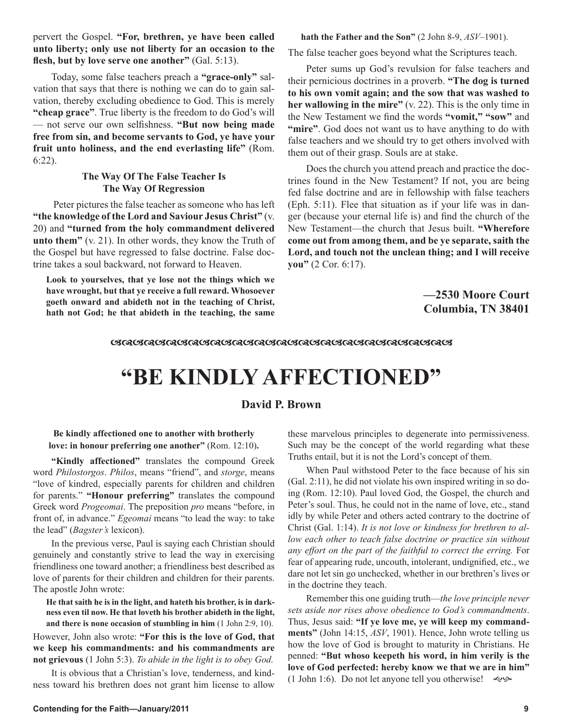pervert the Gospel. **"For, brethren, ye have been called unto liberty; only use not liberty for an occasion to the flesh, but by love serve one another"** (Gal. 5:13).

Today, some false teachers preach a **"grace-only"** salvation that says that there is nothing we can do to gain salvation, thereby excluding obedience to God. This is merely **"cheap grace"**. True liberty is the freedom to do God's will — not serve our own selfishness. **"But now being made free from sin, and become servants to God, ye have your fruit unto holiness, and the end everlasting life"** (Rom. 6:22).

## **The Way Of The False Teacher Is The Way Of Regression**

 Peter pictures the false teacher as someone who has left **"the knowledge of the Lord and Saviour Jesus Christ"** (v. 20) and **"turned from the holy commandment delivered unto them"** (v. 21). In other words, they know the Truth of the Gospel but have regressed to false doctrine. False doctrine takes a soul backward, not forward to Heaven.

**Look to yourselves, that ye lose not the things which we have wrought, but that ye receive a full reward. Whosoever goeth onward and abideth not in the teaching of Christ, hath not God; he that abideth in the teaching, the same** 

### **hath the Father and the Son"** (2 John 8-9, *ASV*–1901).

The false teacher goes beyond what the Scriptures teach.

Peter sums up God's revulsion for false teachers and their pernicious doctrines in a proverb. **"The dog is turned to his own vomit again; and the sow that was washed to her wallowing in the mire"** (v. 22). This is the only time in the New Testament we find the words **"vomit," "sow"** and **"mire"**. God does not want us to have anything to do with false teachers and we should try to get others involved with them out of their grasp. Souls are at stake.

Does the church you attend preach and practice the doctrines found in the New Testament? If not, you are being fed false doctrine and are in fellowship with false teachers (Eph. 5:11). Flee that situation as if your life was in danger (because your eternal life is) and find the church of the New Testament—the church that Jesus built. **"Wherefore come out from among them, and be ye separate, saith the Lord, and touch not the unclean thing; and I will receive you"** (2 Cor. 6:17).

> **—2530 Moore Court Columbia, TN 38401**

#### *ୠୠୠୠୠୠୠୠୠୠୠୠୠୠୠୠୠୠୠୠୠୠୠୠୠୠୠୠୠୠୠୠୠ*

## **"BE KINDLY AFFECTIONED"**

## **David P. Brown**

**Be kindly affectioned one to another with brotherly love: in honour preferring one another"** (Rom. 12:10)**.**

**"Kindly affectioned"** translates the compound Greek word *Philostorgos*. *Philos*, means "friend", and *storge*, means "love of kindred, especially parents for children and children for parents." **"Honour preferring"** translates the compound Greek word *Progeomai*. The preposition *pro* means "before, in front of, in advance." *Egeomai* means "to lead the way: to take the lead" (*Bagster's* lexicon).

In the previous verse, Paul is saying each Christian should genuinely and constantly strive to lead the way in exercising friendliness one toward another; a friendliness best described as love of parents for their children and children for their parents. The apostle John wrote:

**He that saith he is in the light, and hateth his brother, is in darkness even til now. He that loveth his brother abideth in the light, and there is none occasion of stumbling in him** (1 John 2:9, 10).

However, John also wrote: **"For this is the love of God, that we keep his commandments: and his commandments are not grievous** (1 John 5:3). *To abide in the light is to obey God.*

It is obvious that a Christian's love, tenderness, and kindness toward his brethren does not grant him license to allow

**Contending for the Faith—January/2011 9**

these marvelous principles to degenerate into permissiveness. Such may be the concept of the world regarding what these Truths entail, but it is not the Lord's concept of them.

When Paul withstood Peter to the face because of his sin (Gal. 2:11), he did not violate his own inspired writing in so doing (Rom. 12:10). Paul loved God, the Gospel, the church and Peter's soul. Thus, he could not in the name of love, etc., stand idly by while Peter and others acted contrary to the doctrine of Christ (Gal. 1:14). *It is not love or kindness for brethren to allow each other to teach false doctrine or practice sin without*  any effort on the part of the faithful to correct the erring. For fear of appearing rude, uncouth, intolerant, undignified, etc., we dare not let sin go unchecked, whether in our brethren's lives or in the doctrine they teach.

Remember this one guiding truth—*the love principle never sets aside nor rises above obedience to God's commandments*. Thus, Jesus said: **"If ye love me, ye will keep my commandments"** (John 14:15, *ASV*, 1901). Hence, John wrote telling us how the love of God is brought to maturity in Christians. He penned: **"But whoso keepeth his word, in him verily is the love of God perfected: hereby know we that we are in him"** (1 John 1:6). Do not let anyone tell you otherwise!  $\lll$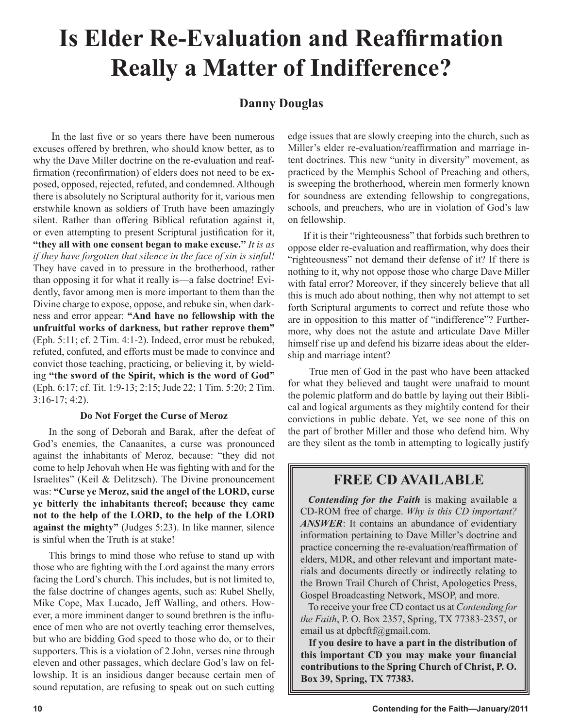## **Is Elder Re-Evaluation and Reaffirmation Really a Matter of Indifference?**

## **Danny Douglas**

In the last five or so years there have been numerous excuses offered by brethren, who should know better, as to why the Dave Miller doctrine on the re-evaluation and reaffirmation (reconfirmation) of elders does not need to be exposed, opposed, rejected, refuted, and condemned. Although there is absolutely no Scriptural authority for it, various men erstwhile known as soldiers of Truth have been amazingly silent. Rather than offering Biblical refutation against it, or even attempting to present Scriptural justification for it, **"they all with one consent began to make excuse."** *It is as if they have forgotten that silence in the face of sin is sinful!* They have caved in to pressure in the brotherhood, rather than opposing it for what it really is—a false doctrine! Evidently, favor among men is more important to them than the Divine charge to expose, oppose, and rebuke sin, when darkness and error appear: **"And have no fellowship with the unfruitful works of darkness, but rather reprove them"** (Eph. 5:11; cf. 2 Tim. 4:1-2). Indeed, error must be rebuked, refuted, confuted, and efforts must be made to convince and convict those teaching, practicing, or believing it, by wielding **"the sword of the Spirit, which is the word of God"** (Eph. 6:17; cf. Tit. 1:9-13; 2:15; Jude 22; 1 Tim. 5:20; 2 Tim. 3:16-17; 4:2).

## **Do Not Forget the Curse of Meroz**

In the song of Deborah and Barak, after the defeat of God's enemies, the Canaanites, a curse was pronounced against the inhabitants of Meroz, because: "they did not come to help Jehovah when He was fighting with and for the Israelites" (Keil & Delitzsch). The Divine pronouncement was: **"Curse ye Meroz, said the angel of the LORD, curse ye bitterly the inhabitants thereof; because they came not to the help of the LORD, to the help of the LORD against the mighty"** (Judges 5:23). In like manner, silence is sinful when the Truth is at stake!

This brings to mind those who refuse to stand up with those who are fighting with the Lord against the many errors facing the Lord's church. This includes, but is not limited to, the false doctrine of changes agents, such as: Rubel Shelly, Mike Cope, Max Lucado, Jeff Walling, and others. However, a more imminent danger to sound brethren is the influence of men who are not overtly teaching error themselves, but who are bidding God speed to those who do, or to their supporters. This is a violation of 2 John, verses nine through eleven and other passages, which declare God's law on fellowship. It is an insidious danger because certain men of sound reputation, are refusing to speak out on such cutting edge issues that are slowly creeping into the church, such as Miller's elder re-evaluation/reaffirmation and marriage intent doctrines. This new "unity in diversity" movement, as practiced by the Memphis School of Preaching and others, is sweeping the brotherhood, wherein men formerly known for soundness are extending fellowship to congregations, schools, and preachers, who are in violation of God's law on fellowship.

If it is their "righteousness" that forbids such brethren to oppose elder re-evaluation and reaffirmation, why does their "righteousness" not demand their defense of it? If there is nothing to it, why not oppose those who charge Dave Miller with fatal error? Moreover, if they sincerely believe that all this is much ado about nothing, then why not attempt to set forth Scriptural arguments to correct and refute those who are in opposition to this matter of "indifference"? Furthermore, why does not the astute and articulate Dave Miller himself rise up and defend his bizarre ideas about the eldership and marriage intent?

 True men of God in the past who have been attacked for what they believed and taught were unafraid to mount the polemic platform and do battle by laying out their Biblical and logical arguments as they mightily contend for their convictions in public debate. Yet, we see none of this on the part of brother Miller and those who defend him. Why are they silent as the tomb in attempting to logically justify

## **FREE CD AVAILABLE**

*Contending for the Faith* is making available a CD-ROM free of charge. *Why is this CD important? ANSWER*: It contains an abundance of evidentiary information pertaining to Dave Miller's doctrine and practice concerning the re-evaluation/reaffirmation of elders, MDR, and other relevant and important materials and documents directly or indirectly relating to the Brown Trail Church of Christ, Apologetics Press, Gospel Broadcasting Network, MSOP, and more.

To receive your free CD contact us at *Contending for the Faith*, P. O. Box 2357, Spring, TX 77383-2357, or email us at dpbcftf@gmail.com.

**If you desire to have a part in the distribution of this important CD you may make your financial contributions to the Spring Church of Christ, P. O. Box 39, Spring, TX 77383.**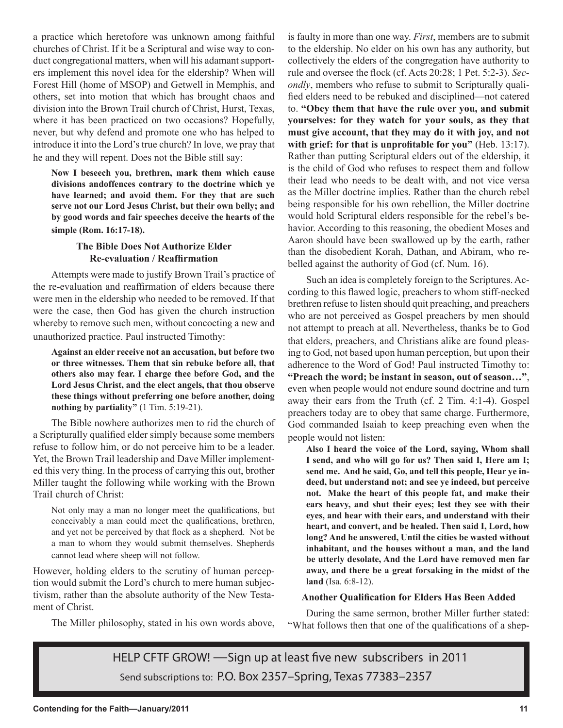a practice which heretofore was unknown among faithful churches of Christ. If it be a Scriptural and wise way to conduct congregational matters, when will his adamant supporters implement this novel idea for the eldership? When will Forest Hill (home of MSOP) and Getwell in Memphis, and others, set into motion that which has brought chaos and division into the Brown Trail church of Christ, Hurst, Texas, where it has been practiced on two occasions? Hopefully, never, but why defend and promote one who has helped to introduce it into the Lord's true church? In love, we pray that he and they will repent. Does not the Bible still say:

**Now I beseech you, brethren, mark them which cause divisions andoffences contrary to the doctrine which ye have learned; and avoid them. For they that are such serve not our Lord Jesus Christ, but their own belly; and by good words and fair speeches deceive the hearts of the simple (Rom. 16:17-18).**

## **The Bible Does Not Authorize Elder Re-evaluation / Reaffirmation**

Attempts were made to justify Brown Trail's practice of the re-evaluation and reaffirmation of elders because there were men in the eldership who needed to be removed. If that were the case, then God has given the church instruction whereby to remove such men, without concocting a new and unauthorized practice. Paul instructed Timothy:

**Against an elder receive not an accusation, but before two or three witnesses. Them that sin rebuke before all, that others also may fear. I charge thee before God, and the Lord Jesus Christ, and the elect angels, that thou observe these things without preferring one before another, doing nothing by partiality"** (1 Tim. 5:19-21).

The Bible nowhere authorizes men to rid the church of a Scripturally qualified elder simply because some members refuse to follow him, or do not perceive him to be a leader. Yet, the Brown Trail leadership and Dave Miller implemented this very thing. In the process of carrying this out, brother Miller taught the following while working with the Brown TraiI church of Christ:

Not only may a man no longer meet the qualifications, but conceivably a man could meet the qualifications, brethren, and yet not be perceived by that flock as a shepherd. Not be a man to whom they would submit themselves. Shepherds cannot lead where sheep will not follow.

However, holding elders to the scrutiny of human perception would submit the Lord's church to mere human subjectivism, rather than the absolute authority of the New Testament of Christ.

The Miller philosophy, stated in his own words above,

is faulty in more than one way. *First*, members are to submit to the eldership. No elder on his own has any authority, but collectively the elders of the congregation have authority to rule and oversee the flock (cf. Acts 20:28; 1 Pet. 5:2-3). *Secondly*, members who refuse to submit to Scripturally qualified elders need to be rebuked and disciplined—not catered to. **"Obey them that have the rule over you, and submit yourselves: for they watch for your souls, as they that must give account, that they may do it with joy, and not with grief: for that is unprofitable for you"** (Heb. 13:17). Rather than putting Scriptural elders out of the eldership, it is the child of God who refuses to respect them and follow their lead who needs to be dealt with, and not vice versa as the Miller doctrine implies. Rather than the church rebel being responsible for his own rebellion, the Miller doctrine would hold Scriptural elders responsible for the rebel's behavior. According to this reasoning, the obedient Moses and Aaron should have been swallowed up by the earth, rather than the disobedient Korah, Dathan, and Abiram, who rebelled against the authority of God (cf. Num. 16).

Such an idea is completely foreign to the Scriptures. According to this flawed logic, preachers to whom stiff-necked brethren refuse to listen should quit preaching, and preachers who are not perceived as Gospel preachers by men should not attempt to preach at all. Nevertheless, thanks be to God that elders, preachers, and Christians alike are found pleasing to God, not based upon human perception, but upon their adherence to the Word of God! Paul instructed Timothy to: **"Preach the word; be instant in season, out of season…"**, even when people would not endure sound doctrine and turn away their ears from the Truth (cf. 2 Tim. 4:1-4). Gospel preachers today are to obey that same charge. Furthermore, God commanded Isaiah to keep preaching even when the people would not listen:

**Also I heard the voice of the Lord, saying, Whom shall I send, and who will go for us? Then said I, Here am I; send me. And he said, Go, and tell this people, Hear ye indeed, but understand not; and see ye indeed, but perceive not. Make the heart of this people fat, and make their ears heavy, and shut their eyes; lest they see with their eyes, and hear with their ears, and understand with their heart, and convert, and be healed. Then said I, Lord, how long? And he answered, Until the cities be wasted without inhabitant, and the houses without a man, and the land be utterly desolate, And the Lord have removed men far away, and there be a great forsaking in the midst of the land** (Isa. 6:8-12).

## **Another Qualification for Elders Has Been Added**

During the same sermon, brother Miller further stated: "What follows then that one of the qualifications of a shep-

HELP CFTF GROW! —Sign up at least five new subscribers in 2011 Send subscriptions to: P.O. Box 2357–Spring, Texas 77383–2357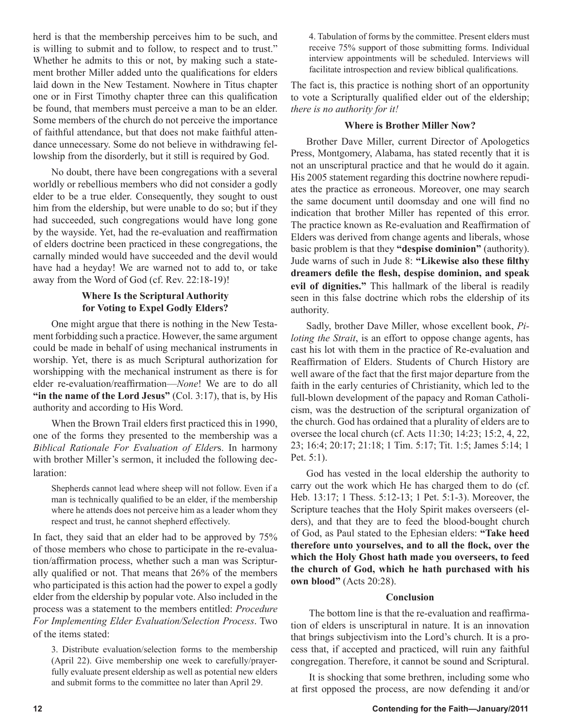herd is that the membership perceives him to be such, and is willing to submit and to follow, to respect and to trust." Whether he admits to this or not, by making such a statement brother Miller added unto the qualifications for elders laid down in the New Testament. Nowhere in Titus chapter one or in First Timothy chapter three can this qualification be found, that members must perceive a man to be an elder. Some members of the church do not perceive the importance of faithful attendance, but that does not make faithful attendance unnecessary. Some do not believe in withdrawing fellowship from the disorderly, but it still is required by God.

No doubt, there have been congregations with a several worldly or rebellious members who did not consider a godly elder to be a true elder. Consequently, they sought to oust him from the eldership, but were unable to do so; but if they had succeeded, such congregations would have long gone by the wayside. Yet, had the re-evaluation and reaffirmation of elders doctrine been practiced in these congregations, the carnally minded would have succeeded and the devil would have had a heyday! We are warned not to add to, or take away from the Word of God (cf. Rev. 22:18-19)!

## **Where Is the Scriptural Authority for Voting to Expel Godly Elders?**

One might argue that there is nothing in the New Testament forbidding such a practice. However, the same argument could be made in behalf of using mechanical instruments in worship. Yet, there is as much Scriptural authorization for worshipping with the mechanical instrument as there is for elder re-evaluation/reaffirmation—*None*! We are to do all **"in the name of the Lord Jesus"** (Col. 3:17), that is, by His authority and according to His Word.

When the Brown Trail elders first practiced this in 1990, one of the forms they presented to the membership was a *Biblical Rationale For Evaluation of Elder*s. In harmony with brother Miller's sermon, it included the following declaration:

Shepherds cannot lead where sheep will not follow. Even if a man is technically qualified to be an elder, if the membership where he attends does not perceive him as a leader whom they respect and trust, he cannot shepherd effectively.

In fact, they said that an elder had to be approved by 75% of those members who chose to participate in the re-evaluation/affirmation process, whether such a man was Scripturally qualified or not. That means that 26% of the members who participated is this action had the power to expel a godly elder from the eldership by popular vote. Also included in the process was a statement to the members entitled: *Procedure For Implementing Elder Evaluation/Selection Process*. Two of the items stated:

3. Distribute evaluation/selection forms to the membership (April 22). Give membership one week to carefully/prayerfully evaluate present eldership as well as potential new elders and submit forms to the committee no later than April 29.

4. Tabulation of forms by the committee. Present elders must receive 75% support of those submitting forms. Individual interview appointments will be scheduled. Interviews will facilitate introspection and review biblical qualifications.

The fact is, this practice is nothing short of an opportunity to vote a Scripturally qualified elder out of the eldership; *there is no authority for it!* 

## **Where is Brother Miller Now?**

Brother Dave Miller, current Director of Apologetics Press, Montgomery, Alabama, has stated recently that it is not an unscriptural practice and that he would do it again. His 2005 statement regarding this doctrine nowhere repudiates the practice as erroneous. Moreover, one may search the same document until doomsday and one will find no indication that brother Miller has repented of this error. The practice known as Re-evaluation and Reaffirmation of Elders was derived from change agents and liberals, whose basic problem is that they **"despise dominion"** (authority). Jude warns of such in Jude 8: **"Likewise also these filthy dreamers defile the flesh, despise dominion, and speak evil of dignities."** This hallmark of the liberal is readily seen in this false doctrine which robs the eldership of its authority.

Sadly, brother Dave Miller, whose excellent book, *Piloting the Strait*, is an effort to oppose change agents, has cast his lot with them in the practice of Re-evaluation and Reaffirmation of Elders. Students of Church History are well aware of the fact that the first major departure from the faith in the early centuries of Christianity, which led to the full-blown development of the papacy and Roman Catholicism, was the destruction of the scriptural organization of the church. God has ordained that a plurality of elders are to oversee the local church (cf. Acts 11:30; 14:23; 15:2, 4, 22, 23; 16:4; 20:17; 21:18; 1 Tim. 5:17; Tit. 1:5; James 5:14; 1 Pet. 5:1).

God has vested in the local eldership the authority to carry out the work which He has charged them to do (cf. Heb. 13:17; 1 Thess. 5:12-13; 1 Pet. 5:1-3). Moreover, the Scripture teaches that the Holy Spirit makes overseers (elders), and that they are to feed the blood-bought church of God, as Paul stated to the Ephesian elders: **"Take heed therefore unto yourselves, and to all the flock, over the which the Holy Ghost hath made you overseers, to feed the church of God, which he hath purchased with his own blood"** (Acts 20:28).

## **Conclusion**

The bottom line is that the re-evaluation and reaffirmation of elders is unscriptural in nature. It is an innovation that brings subjectivism into the Lord's church. It is a process that, if accepted and practiced, will ruin any faithful congregation. Therefore, it cannot be sound and Scriptural.

It is shocking that some brethren, including some who at first opposed the process, are now defending it and/or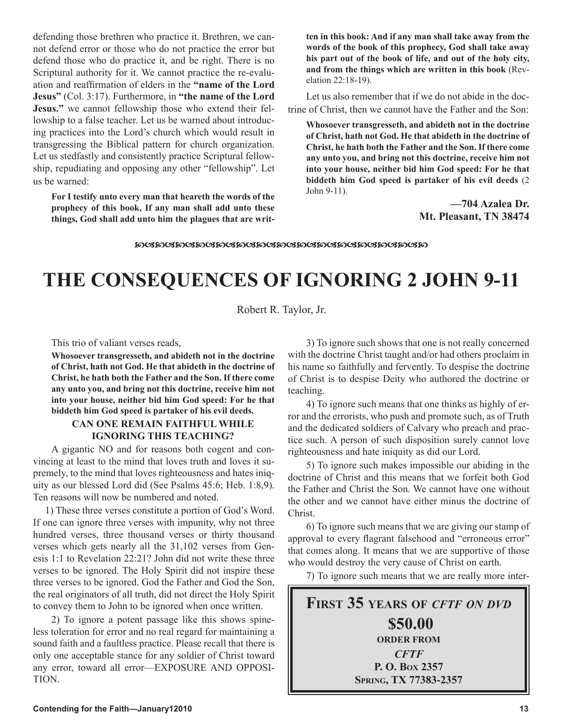defending those brethren who practice it. Brethren, we cannot defend error or those who do not practice the error but defend those who do practice it, and be right. There is no Scriptural authority for it. We cannot practice the re-evaluation and reaffirmation of elders in the **"name of the Lord Jesus"** (Col. 3:17). Furthermore, in **"the name of the Lord Jesus."** we cannot fellowship those who extend their fellowship to a false teacher. Let us be warned about introducing practices into the Lord's church which would result in transgressing the Biblical pattern for church organization. Let us stedfastly and consistently practice Scriptural fellowship, repudiating and opposing any other "fellowship". Let us be warned:

**For I testify unto every man that heareth the words of the prophecy of this book, If any man shall add unto these things, God shall add unto him the plagues that are writ-** **ten in this book: And if any man shall take away from the words of the book of this prophecy, God shall take away his part out of the book of life, and out of the holy city, and from the things which are written in this book** (Revelation 22:18-19).

Let us also remember that if we do not abide in the doctrine of Christ, then we cannot have the Father and the Son:

**Whosoever transgresseth, and abideth not in the doctrine of Christ, hath not God. He that abideth in the doctrine of Christ, he hath both the Father and the Son. If there come any unto you, and bring not this doctrine, receive him not into your house, neither bid him God speed: For he that biddeth him God speed is partaker of his evil deeds** (2 John 9-11).

> **—704 Azalea Dr. Mt. Pleasant, TN 38474**

## **THE CONSEQUENCES OF IGNORING 2 JOHN 9-11**

Robert R. Taylor, Jr.

This trio of valiant verses reads,

**Whosoever transgresseth, and abideth not in the doctrine of Christ, hath not God. He that abideth in the doctrine of Christ, he hath both the Father and the Son. If there come any unto you, and bring not this doctrine, receive him not into your house, neither bid him God speed: For he that biddeth him God speed is partaker of his evil deeds.**

## **CAN ONE REMAIN FAITHFUL WHILE IGNORING THIS TEACHING?**

A gigantic NO and for reasons both cogent and convincing at least to the mind that loves truth and loves it supremely, to the mind that loves righteousness and hates iniquity as our blessed Lord did (See Psalms 45:6; Heb. 1:8,9). Ten reasons will now be numbered and noted.

 1) These three verses constitute a portion of God's Word. If one can ignore three verses with impunity, why not three hundred verses, three thousand verses or thirty thousand verses which gets nearly all the 31,102 verses from Genesis 1:1 to Revelation 22:21? John did not write these three verses to be ignored. The Holy Spirit did not inspire these three verses to be ignored. God the Father and God the Son, the real originators of all truth, did not direct the Holy Spirit to convey them to John to be ignored when once written.

2) To ignore a potent passage like this shows spineless toleration for error and no real regard for maintaining a sound faith and a faultless practice. Please recall that there is only one acceptable stance for any soldier of Christ toward any error, toward all error—EXPOSURE AND OPPOSI-TION.

3) To ignore such shows that one is not really concerned with the doctrine Christ taught and/or had others proclaim in his name so faithfully and fervently. To despise the doctrine of Christ is to despise Deity who authored the doctrine or teaching.

4) To ignore such means that one thinks as highly of error and the errorists, who push and promote such, as of Truth and the dedicated soldiers of Calvary who preach and practice such. A person of such disposition surely cannot love righteousness and hate iniquity as did our Lord.

5) To ignore such makes impossible our abiding in the doctrine of Christ and this means that we forfeit both God the Father and Christ the Son. We cannot have one without the other and we cannot have either minus the doctrine of Christ.

6) To ignore such means that we are giving our stamp of approval to every flagrant falsehood and "erroneous error" that comes along. It means that we are supportive of those who would destroy the very cause of Christ on earth.

7) To ignore such means that we are really more inter-

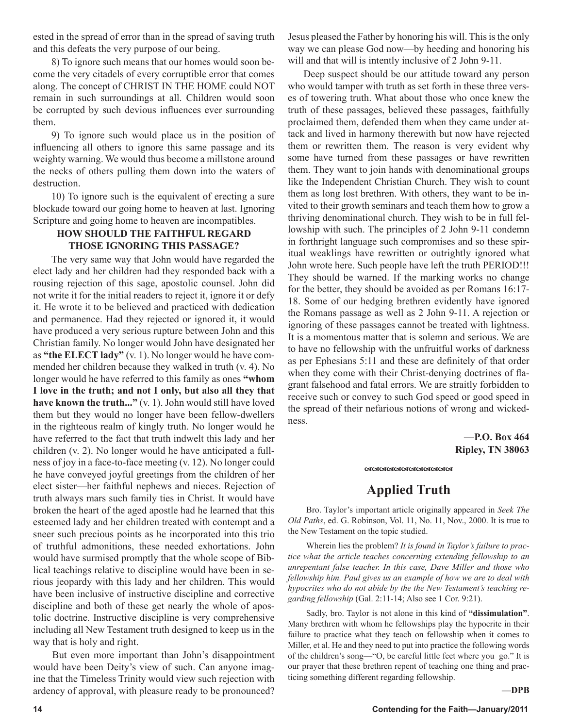ested in the spread of error than in the spread of saving truth and this defeats the very purpose of our being.

8) To ignore such means that our homes would soon become the very citadels of every corruptible error that comes along. The concept of CHRIST IN THE HOME could NOT remain in such surroundings at all. Children would soon be corrupted by such devious influences ever surrounding them.

9) To ignore such would place us in the position of influencing all others to ignore this same passage and its weighty warning. We would thus become a millstone around the necks of others pulling them down into the waters of destruction.

10) To ignore such is the equivalent of erecting a sure blockade toward our going home to heaven at last. Ignoring Scripture and going home to heaven are incompatibles.

## **HOW SHOULD THE FAITHFUL REGARD THOSE IGNORING THIS PASSAGE?**

The very same way that John would have regarded the elect lady and her children had they responded back with a rousing rejection of this sage, apostolic counsel. John did not write it for the initial readers to reject it, ignore it or defy it. He wrote it to be believed and practiced with dedication and permanence. Had they rejected or ignored it, it would have produced a very serious rupture between John and this Christian family. No longer would John have designated her as **"the ELECT lady"** (v. 1). No longer would he have commended her children because they walked in truth (v. 4). No longer would he have referred to this family as ones **"whom I love in the truth; and not I only, but also all they that have known the truth..."** (v. 1). John would still have loved them but they would no longer have been fellow-dwellers in the righteous realm of kingly truth. No longer would he have referred to the fact that truth indwelt this lady and her children (v. 2). No longer would he have anticipated a fullness of joy in a face-to-face meeting (v. 12). No longer could he have conveyed joyful greetings from the children of her elect sister—her faithful nephews and nieces. Rejection of truth always mars such family ties in Christ. It would have broken the heart of the aged apostle had he learned that this esteemed lady and her children treated with contempt and a sneer such precious points as he incorporated into this trio of truthful admonitions, these needed exhortations. John would have surmised promptly that the whole scope of Biblical teachings relative to discipline would have been in serious jeopardy with this lady and her children. This would have been inclusive of instructive discipline and corrective discipline and both of these get nearly the whole of apostolic doctrine. Instructive discipline is very comprehensive including all New Testament truth designed to keep us in the way that is holy and right.

 But even more important than John's disappointment would have been Deity's view of such. Can anyone imagine that the Timeless Trinity would view such rejection with ardency of approval, with pleasure ready to be pronounced?

Jesus pleased the Father by honoring his will. This is the only way we can please God now—by heeding and honoring his will and that will is intently inclusive of 2 John 9-11.

 Deep suspect should be our attitude toward any person who would tamper with truth as set forth in these three verses of towering truth. What about those who once knew the truth of these passages, believed these passages, faithfully proclaimed them, defended them when they came under attack and lived in harmony therewith but now have rejected them or rewritten them. The reason is very evident why some have turned from these passages or have rewritten them. They want to join hands with denominational groups like the Independent Christian Church. They wish to count them as long lost brethren. With others, they want to be invited to their growth seminars and teach them how to grow a thriving denominational church. They wish to be in full fellowship with such. The principles of 2 John 9-11 condemn in forthright language such compromises and so these spiritual weaklings have rewritten or outrightly ignored what John wrote here. Such people have left the truth PERIOD!!! They should be warned. If the marking works no change for the better, they should be avoided as per Romans 16:17- 18. Some of our hedging brethren evidently have ignored the Romans passage as well as 2 John 9-11. A rejection or ignoring of these passages cannot be treated with lightness. It is a momentous matter that is solemn and serious. We are to have no fellowship with the unfruitful works of darkness as per Ephesians 5:11 and these are definitely of that order when they come with their Christ-denying doctrines of flagrant falsehood and fatal errors. We are straitly forbidden to receive such or convey to such God speed or good speed in the spread of their nefarious notions of wrong and wickedness.

> **—P.O. Box 464 Ripley, TN 38063**

#### 

## **Applied Truth**

Bro. Taylor's important article originally appeared in *Seek The Old Paths*, ed. G. Robinson, Vol. 11, No. 11, Nov., 2000. It is true to the New Testament on the topic studied.

Wherein lies the problem? *It is found in Taylor's failure to practice what the article teaches concerning extending fellowship to an unrepentant false teacher. In this case, Dave Miller and those who fellowship him. Paul gives us an example of how we are to deal with hypocrites who do not abide by the the New Testament's teaching regarding fellowship* (Gal. 2:11-14; Also see 1 Cor. 9:21).

Sadly, bro. Taylor is not alone in this kind of **"dissimulation"**. Many brethren with whom he fellowships play the hypocrite in their failure to practice what they teach on fellowship when it comes to Miller, et al. He and they need to put into practice the following words of the children's song—"O, be careful little feet where you go." It is our prayer that these brethren repent of teaching one thing and practicing something different regarding fellowship.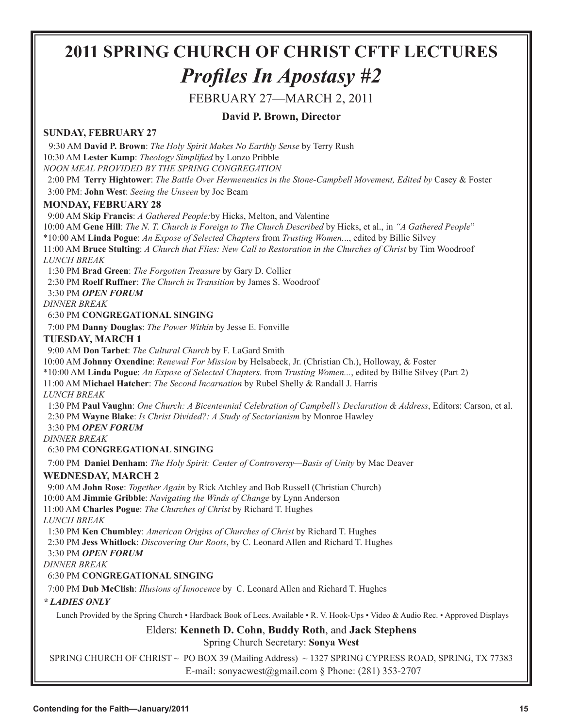## **2011 SPRING CHURCH OF CHRIST CFTF LECTURES** *Profiles In Apostasy #2*

## FEBRUARY 27—MARCH 2, 2011

## **David P. Brown, Director**

## **SUNDAY, FEBRUARY 27**

 9:30 AM **David P. Brown**: *The Holy Spirit Makes No Earthly Sense* by Terry Rush 10:30 AM **Lester Kamp**: *Theology Simplified* by Lonzo Pribble

*NOON MEAL PROVIDED BY THE SPRING CONGREGATION*

 2:00 PM **Terry Hightower**: *The Battle Over Hermeneutics in the Stone-Campbell Movement, Edited by* Casey & Foster 3:00 PM: **John West**: *Seeing the Unseen* by Joe Beam

## **MONDAY, FEBRUARY 28**

9:00 AM **Skip Francis**: *A Gathered People:*by Hicks, Melton, and Valentine

10:00 AM **Gene Hill**: *The N. T. Church is Foreign to The Church Described* by Hicks, et al., in *"A Gathered People*"

\*10:00 AM **Linda Pogue**: *An Expose of Selected Chapters* from *Trusting Women.*.., edited by Billie Silvey

11:00 AM **Bruce Stulting**: *A Church that Flies: New Call to Restoration in the Churches of Christ* by Tim Woodroof *LUNCH BREAK*

1:30 PM **Brad Green**: *The Forgotten Treasure* by Gary D. Collier

2:30 PM **Roelf Ruffner**: *The Church in Transition* by James S. Woodroof

3:30 PM *OPEN FORUM*

*DINNER BREAK*

## 6:30 PM **CONGREGATIONAL SINGING**

7:00 PM **Danny Douglas**: *The Power Within* by Jesse E. Fonville

## **TUESDAY, MARCH 1**

9:00 AM **Don Tarbet**: *The Cultural Church* by F. LaGard Smith

10:00 AM **Johnny Oxendine**: *Renewal For Mission* by Helsabeck, Jr. (Christian Ch.), Holloway, & Foster

\*10:00 AM **Linda Pogue**: *An Expose of Selected Chapters.* from *Trusting Women...*, edited by Billie Silvey (Part 2)

11:00 AM **Michael Hatcher**: *The Second Incarnation* by Rubel Shelly & Randall J. Harris *LUNCH BREAK*

 1:30 PM **Paul Vaughn**: *One Church: A Bicentennial Celebration of Campbell's Declaration & Address*, Editors: Carson, et al. 2:30 PM **Wayne Blake**: *Is Christ Divided?: A Study of Sectarianism* by Monroe Hawley 3:30 PM *OPEN FORUM*

*DINNER BREAK*

## 6:30 PM **CONGREGATIONAL SINGING**

7:00 PM **Daniel Denham**: *The Holy Spirit: Center of Controversy—Basis of Unity* by Mac Deaver

## **WEDNESDAY, MARCH 2**

9:00 AM **John Rose**: *Together Again* by Rick Atchley and Bob Russell (Christian Church)

10:00 AM **Jimmie Gribble**: *Navigating the Winds of Change* by Lynn Anderson

11:00 AM **Charles Pogue**: *The Churches of Christ* by Richard T. Hughes

*LUNCH BREAK*

1:30 PM **Ken Chumbley**: *American Origins of Churches of Christ* by Richard T. Hughes

2:30 PM **Jess Whitlock**: *Discovering Our Roots*, by C. Leonard Allen and Richard T. Hughes

3:30 PM *OPEN FORUM*

*DINNER BREAK*

## 6:30 PM **CONGREGATIONAL SINGING**

7:00 PM **Dub McClish**: *Illusions of Innocence* by C. Leonard Allen and Richard T. Hughes

## *\* LADIES ONLY*

Lunch Provided by the Spring Church • Hardback Book of Lecs. Available • R. V. Hook-Ups • Video & Audio Rec. • Approved Displays

## Elders: **Kenneth D. Cohn**, **Buddy Roth**, and **Jack Stephens**

Spring Church Secretary: **Sonya West**

SPRING CHURCH OF CHRIST ~ PO BOX 39 (Mailing Address) ~ 1327 SPRING CYPRESS ROAD, SPRING, TX 77383 E-mail: sonyacwest@gmail.com § Phone: (281) 353-2707